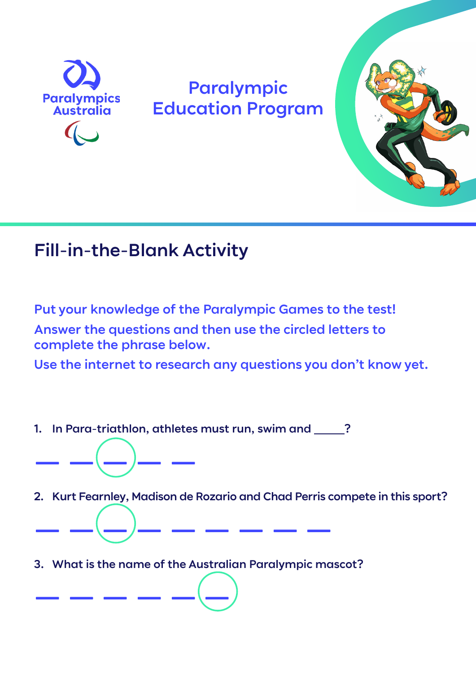

## Paralympic Education Program



## Fill-in-the-Blank Activity

Put your knowledge of the Paralympic Games to the test! Answer the questions and then use the circled letters to complete the phrase below.

Use the internet to research any questions you don't know yet.

1. In Para-triathlon, athletes must run, swim and 2.

——————

——————

2. Kurt Fearnley, Madison de Rozario and Chad Perris compete in this sport?

3. What is the name of the Australian Paralympic mascot?

—————————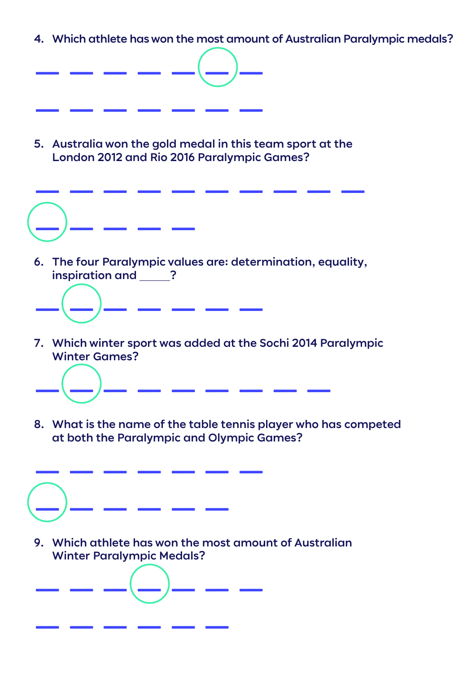4. Which athlete has won the most amount of Australian Paralympic medals?



5. Australia won the gold medal in this team sport at the London 2012 and Rio 2016 Paralympic Games?



6. The four Paralympic values are: determination, equality, inspiration and ?



7. Which winter sport was added at the Sochi 2014 Paralympic Winter Games?



8. What is the name of the table tennis player who has competed at both the Paralympic and Olympic Games?



———————

——————

9. Which athlete has won the most amount of Australian Winter Paralympic Medals?